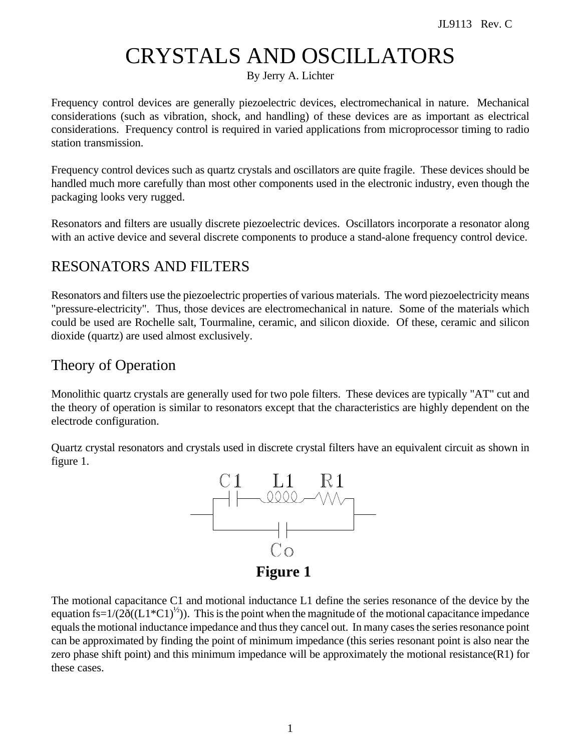# CRYSTALS AND OSCILLATORS

By Jerry A. Lichter

Frequency control devices are generally piezoelectric devices, electromechanical in nature. Mechanical considerations (such as vibration, shock, and handling) of these devices are as important as electrical considerations. Frequency control is required in varied applications from microprocessor timing to radio station transmission.

Frequency control devices such as quartz crystals and oscillators are quite fragile. These devices should be handled much more carefully than most other components used in the electronic industry, even though the packaging looks very rugged.

Resonators and filters are usually discrete piezoelectric devices. Oscillators incorporate a resonator along with an active device and several discrete components to produce a stand-alone frequency control device.

# RESONATORS AND FILTERS

Resonators and filters use the piezoelectric properties of various materials. The word piezoelectricity means "pressure-electricity". Thus, those devices are electromechanical in nature. Some of the materials which could be used are Rochelle salt, Tourmaline, ceramic, and silicon dioxide. Of these, ceramic and silicon dioxide (quartz) are used almost exclusively.

# Theory of Operation

Monolithic quartz crystals are generally used for two pole filters. These devices are typically "AT" cut and the theory of operation is similar to resonators except that the characteristics are highly dependent on the electrode configuration.

Quartz crystal resonators and crystals used in discrete crystal filters have an equivalent circuit as shown in figure 1.



The motional capacitance C1 and motional inductance L1 define the series resonance of the device by the equation fs=1/( $2\delta$ ((L1\*C1)<sup>1/2</sup>)). This is the point when the magnitude of the motional capacitance impedance equals the motional inductance impedance and thus they cancel out. In many cases the series resonance point can be approximated by finding the point of minimum impedance (this series resonant point is also near the zero phase shift point) and this minimum impedance will be approximately the motional resistance(R1) for these cases.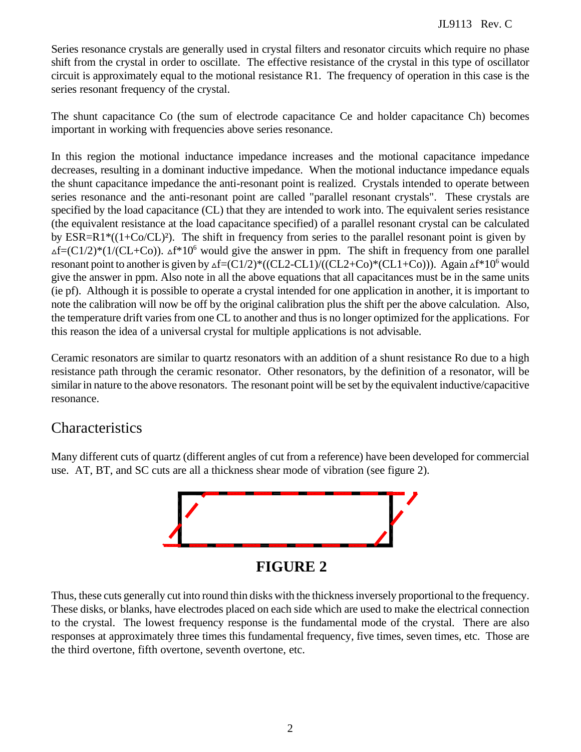Series resonance crystals are generally used in crystal filters and resonator circuits which require no phase shift from the crystal in order to oscillate. The effective resistance of the crystal in this type of oscillator circuit is approximately equal to the motional resistance R1. The frequency of operation in this case is the series resonant frequency of the crystal.

The shunt capacitance Co (the sum of electrode capacitance Ce and holder capacitance Ch) becomes important in working with frequencies above series resonance.

In this region the motional inductance impedance increases and the motional capacitance impedance decreases, resulting in a dominant inductive impedance. When the motional inductance impedance equals the shunt capacitance impedance the anti-resonant point is realized. Crystals intended to operate between series resonance and the anti-resonant point are called "parallel resonant crystals". These crystals are specified by the load capacitance (CL) that they are intended to work into. The equivalent series resistance (the equivalent resistance at the load capacitance specified) of a parallel resonant crystal can be calculated by ESR=R1\*((1+Co/CL)²). The shift in frequency from series to the parallel resonant point is given by  $\Delta f = (C1/2)^*(1/(CL+C_0))$ .  $\Delta f * 10^6$  would give the answer in ppm. The shift in frequency from one parallel resonant point to another is given by  $\Delta f = (C1/2)^*((CL2-CL1)/((CL2+Co)*(CL1+Co)))$ . Again  $\Delta f * 10^6$  would give the answer in ppm. Also note in all the above equations that all capacitances must be in the same units (ie pf). Although it is possible to operate a crystal intended for one application in another, it is important to note the calibration will now be off by the original calibration plus the shift per the above calculation. Also, the temperature drift varies from one CL to another and thus is no longer optimized for the applications. For this reason the idea of a universal crystal for multiple applications is not advisable.

Ceramic resonators are similar to quartz resonators with an addition of a shunt resistance Ro due to a high resistance path through the ceramic resonator. Other resonators, by the definition of a resonator, will be similar in nature to the above resonators. The resonant point will be set by the equivalent inductive/capacitive resonance.

# Characteristics

Many different cuts of quartz (different angles of cut from a reference) have been developed for commercial use. AT, BT, and SC cuts are all a thickness shear mode of vibration (see figure 2).



Thus, these cuts generally cut into round thin disks with the thickness inversely proportional to the frequency. These disks, or blanks, have electrodes placed on each side which are used to make the electrical connection to the crystal. The lowest frequency response is the fundamental mode of the crystal. There are also responses at approximately three times this fundamental frequency, five times, seven times, etc. Those are the third overtone, fifth overtone, seventh overtone, etc.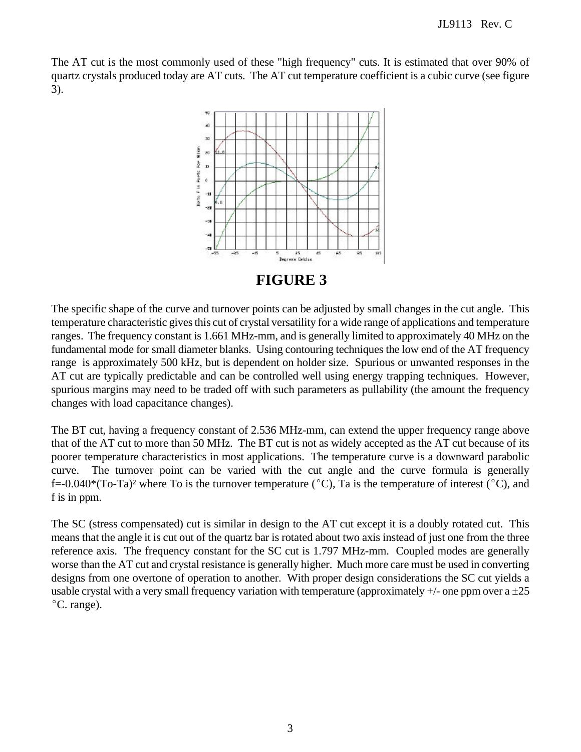The AT cut is the most commonly used of these "high frequency" cuts. It is estimated that over 90% of quartz crystals produced today are AT cuts. The AT cut temperature coefficient is a cubic curve (see figure 3).



**FIGURE 3**

The specific shape of the curve and turnover points can be adjusted by small changes in the cut angle. This temperature characteristic gives this cut of crystal versatility for a wide range of applications and temperature ranges. The frequency constant is 1.661 MHz-mm, and is generally limited to approximately 40 MHz on the fundamental mode for small diameter blanks. Using contouring techniques the low end of the AT frequency range is approximately 500 kHz, but is dependent on holder size. Spurious or unwanted responses in the AT cut are typically predictable and can be controlled well using energy trapping techniques. However, spurious margins may need to be traded off with such parameters as pullability (the amount the frequency changes with load capacitance changes).

The BT cut, having a frequency constant of 2.536 MHz-mm, can extend the upper frequency range above that of the AT cut to more than 50 MHz. The BT cut is not as widely accepted as the AT cut because of its poorer temperature characteristics in most applications. The temperature curve is a downward parabolic curve. The turnover point can be varied with the cut angle and the curve formula is generally f=-0.040\*(To-Ta)<sup>2</sup> where To is the turnover temperature ( $\degree$ C), Ta is the temperature of interest ( $\degree$ C), and f is in ppm.

The SC (stress compensated) cut is similar in design to the AT cut except it is a doubly rotated cut. This means that the angle it is cut out of the quartz bar is rotated about two axis instead of just one from the three reference axis. The frequency constant for the SC cut is 1.797 MHz-mm. Coupled modes are generally worse than the AT cut and crystal resistance is generally higher. Much more care must be used in converting designs from one overtone of operation to another. With proper design considerations the SC cut yields a usable crystal with a very small frequency variation with temperature (approximately  $+/-$  one ppm over a  $\pm 25$ °C. range).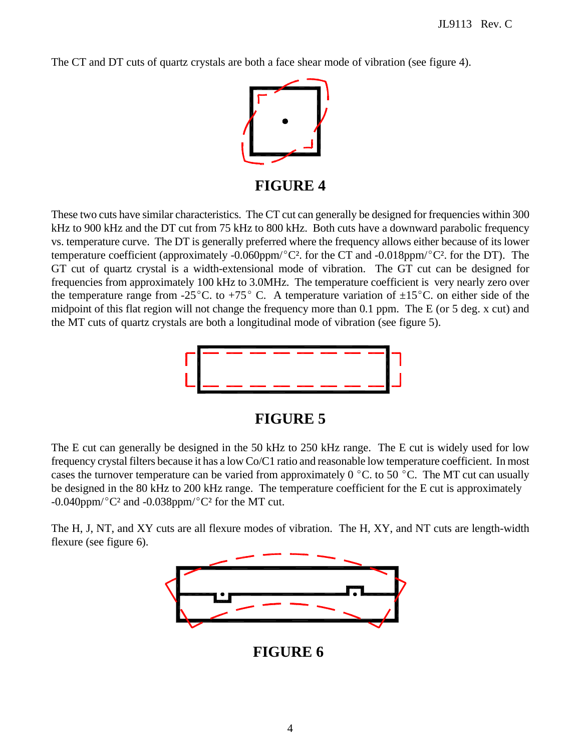The CT and DT cuts of quartz crystals are both a face shear mode of vibration (see figure 4).



**FIGURE 4**

These two cuts have similar characteristics. The CT cut can generally be designed for frequencies within 300 kHz to 900 kHz and the DT cut from 75 kHz to 800 kHz. Both cuts have a downward parabolic frequency vs. temperature curve. The DT is generally preferred where the frequency allows either because of its lower temperature coefficient (approximately -0.060ppm/ $^{\circ}$ C<sup>2</sup>. for the CT and -0.018ppm/ $^{\circ}$ C<sup>2</sup>. for the DT). The GT cut of quartz crystal is a width-extensional mode of vibration. The GT cut can be designed for frequencies from approximately 100 kHz to 3.0MHz. The temperature coefficient is very nearly zero over the temperature range from -25<sup>°</sup>C. to +75<sup>°</sup>C. A temperature variation of  $\pm 15$ <sup>°</sup>C. on either side of the midpoint of this flat region will not change the frequency more than 0.1 ppm. The E (or 5 deg. x cut) and the MT cuts of quartz crystals are both a longitudinal mode of vibration (see figure 5).



#### **FIGURE 5**

The E cut can generally be designed in the 50 kHz to 250 kHz range. The E cut is widely used for low frequency crystal filters because it has a low Co/C1 ratio and reasonable low temperature coefficient. In most cases the turnover temperature can be varied from approximately  $0^{\circ}$ C. to 50  $^{\circ}$ C. The MT cut can usually be designed in the 80 kHz to 200 kHz range. The temperature coefficient for the E cut is approximately  $-0.040$ ppm/ $^{\circ}$ C<sup>2</sup> and  $-0.038$ ppm/ $^{\circ}$ C<sup>2</sup> for the MT cut.

The H, J, NT, and XY cuts are all flexure modes of vibration. The H, XY, and NT cuts are length-width flexure (see figure 6).



**FIGURE 6**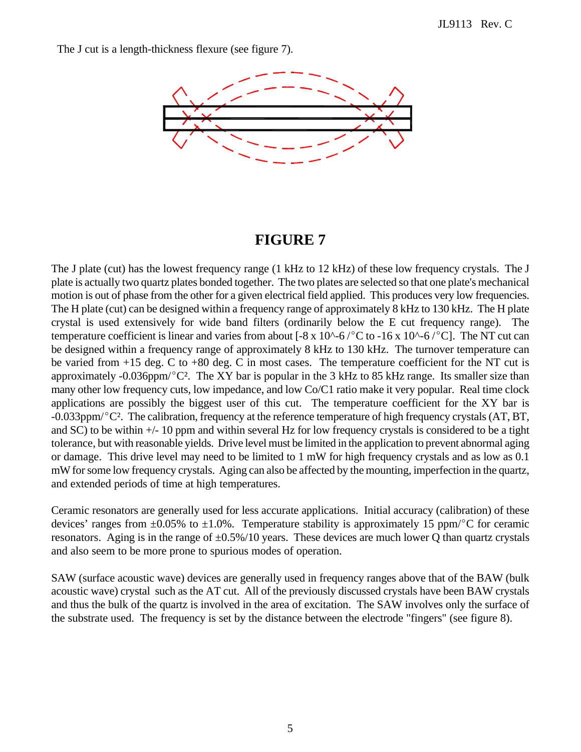The J cut is a length-thickness flexure (see figure 7).



# **FIGURE 7**

The J plate (cut) has the lowest frequency range (1 kHz to 12 kHz) of these low frequency crystals. The J plate is actually two quartz plates bonded together. The two plates are selected so that one plate's mechanical motion is out of phase from the other for a given electrical field applied. This produces very low frequencies. The H plate (cut) can be designed within a frequency range of approximately 8 kHz to 130 kHz. The H plate crystal is used extensively for wide band filters (ordinarily below the E cut frequency range). The temperature coefficient is linear and varies from about  $[-8 \times 10^{\circ} - 6^\circ\text{C}$  to  $-16 \times 10^{\circ} - 6^\circ\text{C}]$ . The NT cut can be designed within a frequency range of approximately 8 kHz to 130 kHz. The turnover temperature can be varied from +15 deg. C to +80 deg. C in most cases. The temperature coefficient for the NT cut is approximately -0.036ppm/ $^{\circ}C^2$ . The XY bar is popular in the 3 kHz to 85 kHz range. Its smaller size than many other low frequency cuts, low impedance, and low Co/C1 ratio make it very popular. Real time clock applications are possibly the biggest user of this cut. The temperature coefficient for the XY bar is  $-0.033$ ppm/ $\degree$ C<sup>2</sup>. The calibration, frequency at the reference temperature of high frequency crystals (AT, BT, and SC) to be within +/- 10 ppm and within several Hz for low frequency crystals is considered to be a tight tolerance, but with reasonable yields. Drive level must be limited in the application to prevent abnormal aging or damage. This drive level may need to be limited to 1 mW for high frequency crystals and as low as 0.1 mW for some low frequency crystals. Aging can also be affected by the mounting, imperfection in the quartz, and extended periods of time at high temperatures.

Ceramic resonators are generally used for less accurate applications. Initial accuracy (calibration) of these devices' ranges from  $\pm 0.05\%$  to  $\pm 1.0\%$ . Temperature stability is approximately 15 ppm/°C for ceramic resonators. Aging is in the range of  $\pm 0.5\%/10$  years. These devices are much lower Q than quartz crystals and also seem to be more prone to spurious modes of operation.

SAW (surface acoustic wave) devices are generally used in frequency ranges above that of the BAW (bulk acoustic wave) crystal such as the AT cut. All of the previously discussed crystals have been BAW crystals and thus the bulk of the quartz is involved in the area of excitation. The SAW involves only the surface of the substrate used. The frequency is set by the distance between the electrode "fingers" (see figure 8).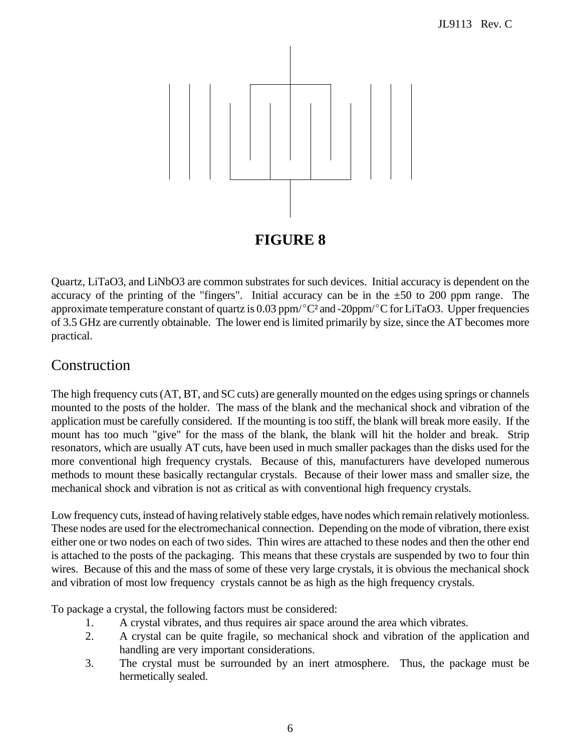

Quartz, LiTaO3, and LiNbO3 are common substrates for such devices. Initial accuracy is dependent on the accuracy of the printing of the "fingers". Initial accuracy can be in the  $\pm 50$  to 200 ppm range. The approximate temperature constant of quartz is 0.03 ppm/ $^{\circ}$ C<sup>2</sup> and -20ppm/ $^{\circ}$ C for LiTaO3. Upper frequencies of 3.5 GHz are currently obtainable. The lower end is limited primarily by size, since the AT becomes more practical.

# Construction

The high frequency cuts (AT, BT, and SC cuts) are generally mounted on the edges using springs or channels mounted to the posts of the holder. The mass of the blank and the mechanical shock and vibration of the application must be carefully considered. If the mounting is too stiff, the blank will break more easily. If the mount has too much "give" for the mass of the blank, the blank will hit the holder and break. Strip resonators, which are usually AT cuts, have been used in much smaller packages than the disks used for the more conventional high frequency crystals. Because of this, manufacturers have developed numerous methods to mount these basically rectangular crystals. Because of their lower mass and smaller size, the mechanical shock and vibration is not as critical as with conventional high frequency crystals.

Low frequency cuts, instead of having relatively stable edges, have nodes which remain relatively motionless. These nodes are used for the electromechanical connection. Depending on the mode of vibration, there exist either one or two nodes on each of two sides. Thin wires are attached to these nodes and then the other end is attached to the posts of the packaging. This means that these crystals are suspended by two to four thin wires. Because of this and the mass of some of these very large crystals, it is obvious the mechanical shock and vibration of most low frequency crystals cannot be as high as the high frequency crystals.

To package a crystal, the following factors must be considered:

- 1. A crystal vibrates, and thus requires air space around the area which vibrates.
- 2. A crystal can be quite fragile, so mechanical shock and vibration of the application and handling are very important considerations.
- 3. The crystal must be surrounded by an inert atmosphere. Thus, the package must be hermetically sealed.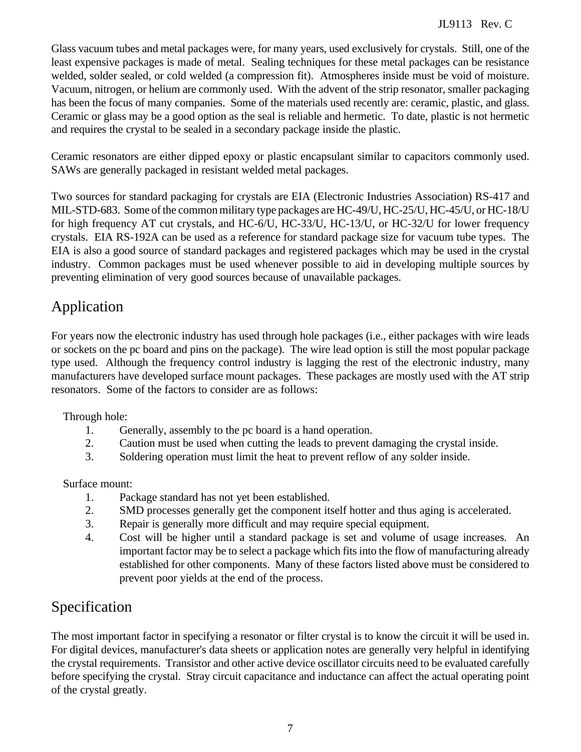Glass vacuum tubes and metal packages were, for many years, used exclusively for crystals. Still, one of the least expensive packages is made of metal. Sealing techniques for these metal packages can be resistance welded, solder sealed, or cold welded (a compression fit). Atmospheres inside must be void of moisture. Vacuum, nitrogen, or helium are commonly used. With the advent of the strip resonator, smaller packaging has been the focus of many companies. Some of the materials used recently are: ceramic, plastic, and glass. Ceramic or glass may be a good option as the seal is reliable and hermetic. To date, plastic is not hermetic and requires the crystal to be sealed in a secondary package inside the plastic.

Ceramic resonators are either dipped epoxy or plastic encapsulant similar to capacitors commonly used. SAWs are generally packaged in resistant welded metal packages.

Two sources for standard packaging for crystals are EIA (Electronic Industries Association) RS-417 and MIL-STD-683. Some of the common military type packages are HC-49/U, HC-25/U, HC-45/U, or HC-18/U for high frequency AT cut crystals, and HC-6/U, HC-33/U, HC-13/U, or HC-32/U for lower frequency crystals. EIA RS-192A can be used as a reference for standard package size for vacuum tube types. The EIA is also a good source of standard packages and registered packages which may be used in the crystal industry. Common packages must be used whenever possible to aid in developing multiple sources by preventing elimination of very good sources because of unavailable packages.

# Application

For years now the electronic industry has used through hole packages (i.e., either packages with wire leads or sockets on the pc board and pins on the package). The wire lead option is still the most popular package type used. Although the frequency control industry is lagging the rest of the electronic industry, many manufacturers have developed surface mount packages. These packages are mostly used with the AT strip resonators. Some of the factors to consider are as follows:

Through hole:

- 1. Generally, assembly to the pc board is a hand operation.
- 2. Caution must be used when cutting the leads to prevent damaging the crystal inside.
- 3. Soldering operation must limit the heat to prevent reflow of any solder inside.

Surface mount:

- 1. Package standard has not yet been established.
- 2. SMD processes generally get the component itself hotter and thus aging is accelerated.
- 3. Repair is generally more difficult and may require special equipment.
- 4. Cost will be higher until a standard package is set and volume of usage increases. An important factor may be to select a package which fits into the flow of manufacturing already established for other components. Many of these factors listed above must be considered to prevent poor yields at the end of the process.

# Specification

The most important factor in specifying a resonator or filter crystal is to know the circuit it will be used in. For digital devices, manufacturer's data sheets or application notes are generally very helpful in identifying the crystal requirements. Transistor and other active device oscillator circuits need to be evaluated carefully before specifying the crystal. Stray circuit capacitance and inductance can affect the actual operating point of the crystal greatly.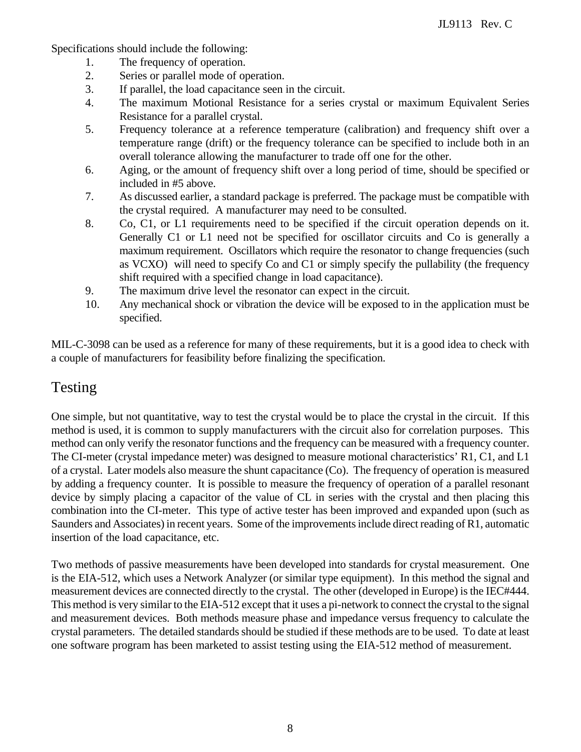Specifications should include the following:

- 1. The frequency of operation.
- 2. Series or parallel mode of operation.
- 3. If parallel, the load capacitance seen in the circuit.
- 4. The maximum Motional Resistance for a series crystal or maximum Equivalent Series Resistance for a parallel crystal.
- 5. Frequency tolerance at a reference temperature (calibration) and frequency shift over a temperature range (drift) or the frequency tolerance can be specified to include both in an overall tolerance allowing the manufacturer to trade off one for the other.
- 6. Aging, or the amount of frequency shift over a long period of time, should be specified or included in #5 above.
- 7. As discussed earlier, a standard package is preferred. The package must be compatible with the crystal required. A manufacturer may need to be consulted.
- 8. Co, C1, or L1 requirements need to be specified if the circuit operation depends on it. Generally C1 or L1 need not be specified for oscillator circuits and Co is generally a maximum requirement. Oscillators which require the resonator to change frequencies (such as VCXO) will need to specify Co and C1 or simply specify the pullability (the frequency shift required with a specified change in load capacitance).
- 9. The maximum drive level the resonator can expect in the circuit.
- 10. Any mechanical shock or vibration the device will be exposed to in the application must be specified.

MIL-C-3098 can be used as a reference for many of these requirements, but it is a good idea to check with a couple of manufacturers for feasibility before finalizing the specification.

#### Testing

One simple, but not quantitative, way to test the crystal would be to place the crystal in the circuit. If this method is used, it is common to supply manufacturers with the circuit also for correlation purposes. This method can only verify the resonator functions and the frequency can be measured with a frequency counter. The CI-meter (crystal impedance meter) was designed to measure motional characteristics' R1, C1, and L1 of a crystal. Later models also measure the shunt capacitance (Co). The frequency of operation is measured by adding a frequency counter. It is possible to measure the frequency of operation of a parallel resonant device by simply placing a capacitor of the value of CL in series with the crystal and then placing this combination into the CI-meter. This type of active tester has been improved and expanded upon (such as Saunders and Associates) in recent years. Some of the improvements include direct reading of R1, automatic insertion of the load capacitance, etc.

Two methods of passive measurements have been developed into standards for crystal measurement. One is the EIA-512, which uses a Network Analyzer (or similar type equipment). In this method the signal and measurement devices are connected directly to the crystal. The other (developed in Europe) is the IEC#444. This method is very similar to the EIA-512 except that it uses a pi-network to connect the crystal to the signal and measurement devices. Both methods measure phase and impedance versus frequency to calculate the crystal parameters. The detailed standards should be studied if these methods are to be used. To date at least one software program has been marketed to assist testing using the EIA-512 method of measurement.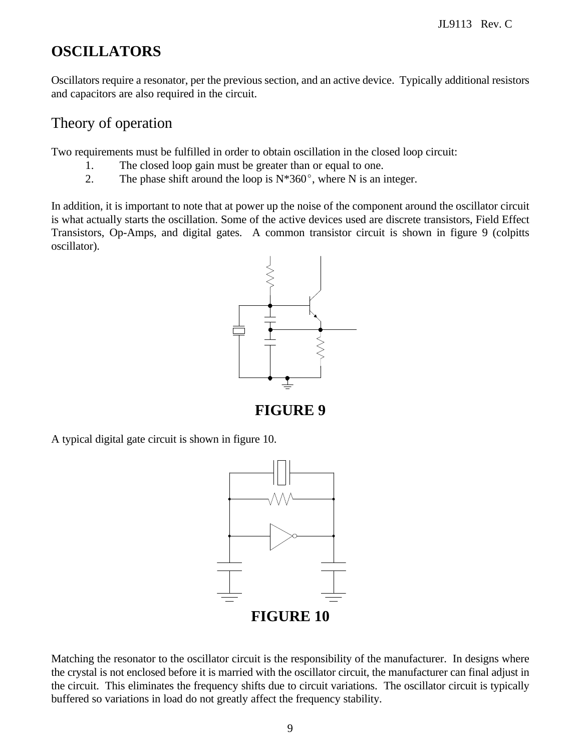# **OSCILLATORS**

Oscillators require a resonator, per the previous section, and an active device. Typically additional resistors and capacitors are also required in the circuit.

### Theory of operation

Two requirements must be fulfilled in order to obtain oscillation in the closed loop circuit:

- 1. The closed loop gain must be greater than or equal to one.
- 2. The phase shift around the loop is  $N*360^\circ$ , where N is an integer.

In addition, it is important to note that at power up the noise of the component around the oscillator circuit is what actually starts the oscillation. Some of the active devices used are discrete transistors, Field Effect Transistors, Op-Amps, and digital gates. A common transistor circuit is shown in figure 9 (colpitts oscillator).



**FIGURE 9**

A typical digital gate circuit is shown in figure 10.



Matching the resonator to the oscillator circuit is the responsibility of the manufacturer. In designs where the crystal is not enclosed before it is married with the oscillator circuit, the manufacturer can final adjust in the circuit. This eliminates the frequency shifts due to circuit variations. The oscillator circuit is typically buffered so variations in load do not greatly affect the frequency stability.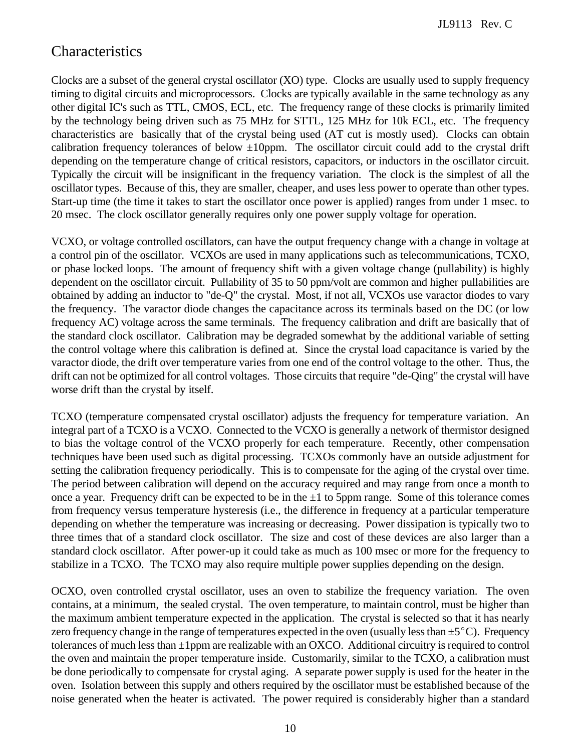# Characteristics

Clocks are a subset of the general crystal oscillator (XO) type. Clocks are usually used to supply frequency timing to digital circuits and microprocessors. Clocks are typically available in the same technology as any other digital IC's such as TTL, CMOS, ECL, etc. The frequency range of these clocks is primarily limited by the technology being driven such as 75 MHz for STTL, 125 MHz for 10k ECL, etc. The frequency characteristics are basically that of the crystal being used (AT cut is mostly used). Clocks can obtain calibration frequency tolerances of below  $\pm 10$ ppm. The oscillator circuit could add to the crystal drift depending on the temperature change of critical resistors, capacitors, or inductors in the oscillator circuit. Typically the circuit will be insignificant in the frequency variation. The clock is the simplest of all the oscillator types. Because of this, they are smaller, cheaper, and uses less power to operate than other types. Start-up time (the time it takes to start the oscillator once power is applied) ranges from under 1 msec. to 20 msec. The clock oscillator generally requires only one power supply voltage for operation.

VCXO, or voltage controlled oscillators, can have the output frequency change with a change in voltage at a control pin of the oscillator. VCXOs are used in many applications such as telecommunications, TCXO, or phase locked loops. The amount of frequency shift with a given voltage change (pullability) is highly dependent on the oscillator circuit. Pullability of 35 to 50 ppm/volt are common and higher pullabilities are obtained by adding an inductor to "de-Q" the crystal. Most, if not all, VCXOs use varactor diodes to vary the frequency. The varactor diode changes the capacitance across its terminals based on the DC (or low frequency AC) voltage across the same terminals. The frequency calibration and drift are basically that of the standard clock oscillator. Calibration may be degraded somewhat by the additional variable of setting the control voltage where this calibration is defined at. Since the crystal load capacitance is varied by the varactor diode, the drift over temperature varies from one end of the control voltage to the other. Thus, the drift can not be optimized for all control voltages. Those circuits that require "de-Qing" the crystal will have worse drift than the crystal by itself.

TCXO (temperature compensated crystal oscillator) adjusts the frequency for temperature variation. An integral part of a TCXO is a VCXO. Connected to the VCXO is generally a network of thermistor designed to bias the voltage control of the VCXO properly for each temperature. Recently, other compensation techniques have been used such as digital processing. TCXOs commonly have an outside adjustment for setting the calibration frequency periodically. This is to compensate for the aging of the crystal over time. The period between calibration will depend on the accuracy required and may range from once a month to once a year. Frequency drift can be expected to be in the  $\pm 1$  to 5ppm range. Some of this tolerance comes from frequency versus temperature hysteresis (i.e., the difference in frequency at a particular temperature depending on whether the temperature was increasing or decreasing. Power dissipation is typically two to three times that of a standard clock oscillator. The size and cost of these devices are also larger than a standard clock oscillator. After power-up it could take as much as 100 msec or more for the frequency to stabilize in a TCXO. The TCXO may also require multiple power supplies depending on the design.

OCXO, oven controlled crystal oscillator, uses an oven to stabilize the frequency variation. The oven contains, at a minimum, the sealed crystal. The oven temperature, to maintain control, must be higher than the maximum ambient temperature expected in the application. The crystal is selected so that it has nearly zero frequency change in the range of temperatures expected in the oven (usually less than  $\pm 5^{\circ}$ C). Frequency tolerances of much less than  $\pm 1$ ppm are realizable with an OXCO. Additional circuitry is required to control the oven and maintain the proper temperature inside. Customarily, similar to the TCXO, a calibration must be done periodically to compensate for crystal aging. A separate power supply is used for the heater in the oven. Isolation between this supply and others required by the oscillator must be established because of the noise generated when the heater is activated. The power required is considerably higher than a standard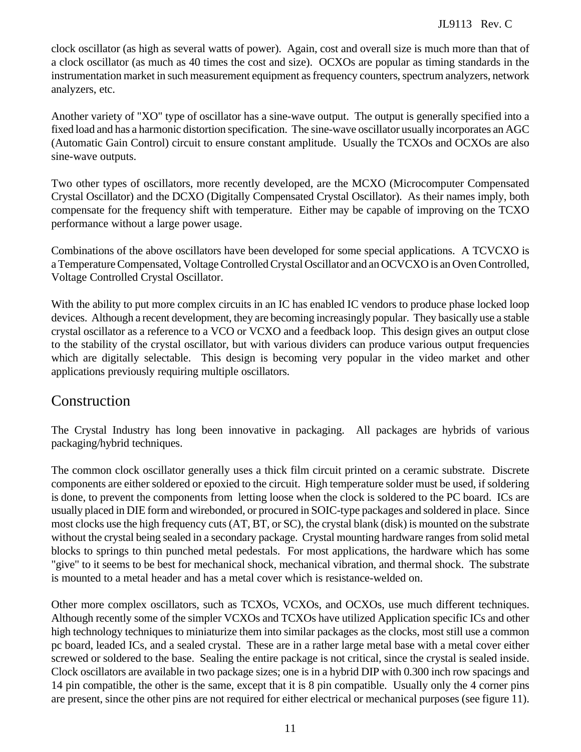clock oscillator (as high as several watts of power). Again, cost and overall size is much more than that of a clock oscillator (as much as 40 times the cost and size). OCXOs are popular as timing standards in the instrumentation market in such measurement equipment as frequency counters, spectrum analyzers, network analyzers, etc.

Another variety of "XO" type of oscillator has a sine-wave output. The output is generally specified into a fixed load and has a harmonic distortion specification. The sine-wave oscillator usually incorporates an AGC (Automatic Gain Control) circuit to ensure constant amplitude. Usually the TCXOs and OCXOs are also sine-wave outputs.

Two other types of oscillators, more recently developed, are the MCXO (Microcomputer Compensated Crystal Oscillator) and the DCXO (Digitally Compensated Crystal Oscillator). As their names imply, both compensate for the frequency shift with temperature. Either may be capable of improving on the TCXO performance without a large power usage.

Combinations of the above oscillators have been developed for some special applications. A TCVCXO is a Temperature Compensated, Voltage Controlled Crystal Oscillator and an OCVCXO is an Oven Controlled, Voltage Controlled Crystal Oscillator.

With the ability to put more complex circuits in an IC has enabled IC vendors to produce phase locked loop devices. Although a recent development, they are becoming increasingly popular. They basically use a stable crystal oscillator as a reference to a VCO or VCXO and a feedback loop. This design gives an output close to the stability of the crystal oscillator, but with various dividers can produce various output frequencies which are digitally selectable. This design is becoming very popular in the video market and other applications previously requiring multiple oscillators.

#### Construction

The Crystal Industry has long been innovative in packaging. All packages are hybrids of various packaging/hybrid techniques.

The common clock oscillator generally uses a thick film circuit printed on a ceramic substrate. Discrete components are either soldered or epoxied to the circuit. High temperature solder must be used, if soldering is done, to prevent the components from letting loose when the clock is soldered to the PC board. ICs are usually placed in DIE form and wirebonded, or procured in SOIC-type packages and soldered in place. Since most clocks use the high frequency cuts (AT, BT, or SC), the crystal blank (disk) is mounted on the substrate without the crystal being sealed in a secondary package. Crystal mounting hardware ranges from solid metal blocks to springs to thin punched metal pedestals. For most applications, the hardware which has some "give" to it seems to be best for mechanical shock, mechanical vibration, and thermal shock. The substrate is mounted to a metal header and has a metal cover which is resistance-welded on.

Other more complex oscillators, such as TCXOs, VCXOs, and OCXOs, use much different techniques. Although recently some of the simpler VCXOs and TCXOs have utilized Application specific ICs and other high technology techniques to miniaturize them into similar packages as the clocks, most still use a common pc board, leaded ICs, and a sealed crystal. These are in a rather large metal base with a metal cover either screwed or soldered to the base. Sealing the entire package is not critical, since the crystal is sealed inside. Clock oscillators are available in two package sizes; one is in a hybrid DIP with 0.300 inch row spacings and 14 pin compatible, the other is the same, except that it is 8 pin compatible. Usually only the 4 corner pins are present, since the other pins are not required for either electrical or mechanical purposes (see figure 11).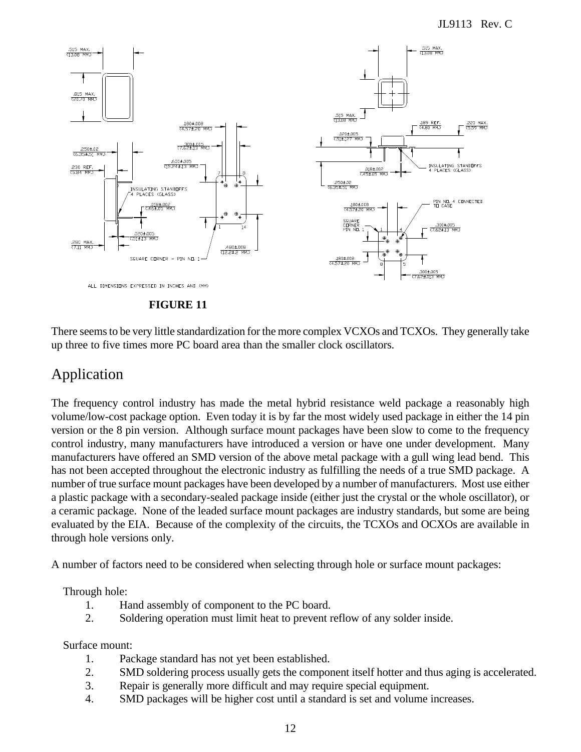

There seems to be very little standardization for the more complex VCXOs and TCXOs. They generally take up three to five times more PC board area than the smaller clock oscillators.

# Application

The frequency control industry has made the metal hybrid resistance weld package a reasonably high volume/low-cost package option. Even today it is by far the most widely used package in either the 14 pin version or the 8 pin version. Although surface mount packages have been slow to come to the frequency control industry, many manufacturers have introduced a version or have one under development. Many manufacturers have offered an SMD version of the above metal package with a gull wing lead bend. This has not been accepted throughout the electronic industry as fulfilling the needs of a true SMD package. A number of true surface mount packages have been developed by a number of manufacturers. Most use either a plastic package with a secondary-sealed package inside (either just the crystal or the whole oscillator), or a ceramic package. None of the leaded surface mount packages are industry standards, but some are being evaluated by the EIA. Because of the complexity of the circuits, the TCXOs and OCXOs are available in through hole versions only.

A number of factors need to be considered when selecting through hole or surface mount packages:

#### Through hole:

- 1. Hand assembly of component to the PC board.
- 2. Soldering operation must limit heat to prevent reflow of any solder inside.

#### Surface mount:

- 1. Package standard has not yet been established.
- 2. SMD soldering process usually gets the component itself hotter and thus aging is accelerated.
- 3. Repair is generally more difficult and may require special equipment.
- 4. SMD packages will be higher cost until a standard is set and volume increases.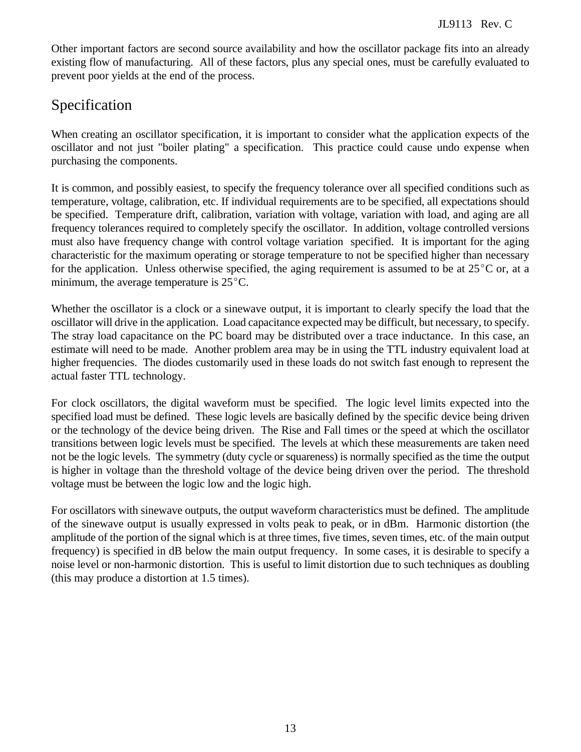Other important factors are second source availability and how the oscillator package fits into an already existing flow of manufacturing. All of these factors, plus any special ones, must be carefully evaluated to prevent poor yields at the end of the process.

# Specification

When creating an oscillator specification, it is important to consider what the application expects of the oscillator and not just "boiler plating" a specification. This practice could cause undo expense when purchasing the components.

It is common, and possibly easiest, to specify the frequency tolerance over all specified conditions such as temperature, voltage, calibration, etc. If individual requirements are to be specified, all expectations should be specified. Temperature drift, calibration, variation with voltage, variation with load, and aging are all frequency tolerances required to completely specify the oscillator. In addition, voltage controlled versions must also have frequency change with control voltage variation specified. It is important for the aging characteristic for the maximum operating or storage temperature to not be specified higher than necessary for the application. Unless otherwise specified, the aging requirement is assumed to be at  $25^{\circ}$ C or, at a minimum, the average temperature is  $25^{\circ}$ C.

Whether the oscillator is a clock or a sinewave output, it is important to clearly specify the load that the oscillator will drive in the application. Load capacitance expected may be difficult, but necessary, to specify. The stray load capacitance on the PC board may be distributed over a trace inductance. In this case, an estimate will need to be made. Another problem area may be in using the TTL industry equivalent load at higher frequencies. The diodes customarily used in these loads do not switch fast enough to represent the actual faster TTL technology.

For clock oscillators, the digital waveform must be specified. The logic level limits expected into the specified load must be defined. These logic levels are basically defined by the specific device being driven or the technology of the device being driven. The Rise and Fall times or the speed at which the oscillator transitions between logic levels must be specified. The levels at which these measurements are taken need not be the logic levels. The symmetry (duty cycle or squareness) is normally specified as the time the output is higher in voltage than the threshold voltage of the device being driven over the period. The threshold voltage must be between the logic low and the logic high.

For oscillators with sinewave outputs, the output waveform characteristics must be defined. The amplitude of the sinewave output is usually expressed in volts peak to peak, or in dBm. Harmonic distortion (the amplitude of the portion of the signal which is at three times, five times, seven times, etc. of the main output frequency) is specified in dB below the main output frequency. In some cases, it is desirable to specify a noise level or non-harmonic distortion. This is useful to limit distortion due to such techniques as doubling (this may produce a distortion at 1.5 times).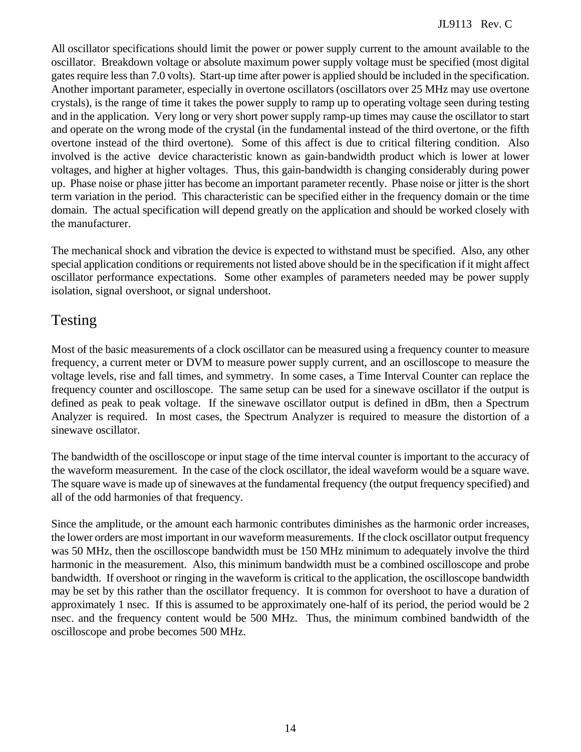All oscillator specifications should limit the power or power supply current to the amount available to the oscillator. Breakdown voltage or absolute maximum power supply voltage must be specified (most digital gates require less than 7.0 volts). Start-up time after power is applied should be included in the specification. Another important parameter, especially in overtone oscillators (oscillators over 25 MHz may use overtone crystals), is the range of time it takes the power supply to ramp up to operating voltage seen during testing and in the application. Very long or very short power supply ramp-up times may cause the oscillator to start and operate on the wrong mode of the crystal (in the fundamental instead of the third overtone, or the fifth overtone instead of the third overtone). Some of this affect is due to critical filtering condition. Also involved is the active device characteristic known as gain-bandwidth product which is lower at lower voltages, and higher at higher voltages. Thus, this gain-bandwidth is changing considerably during power up. Phase noise or phase jitter has become an important parameter recently. Phase noise or jitter is the short term variation in the period. This characteristic can be specified either in the frequency domain or the time domain. The actual specification will depend greatly on the application and should be worked closely with the manufacturer.

The mechanical shock and vibration the device is expected to withstand must be specified. Also, any other special application conditions or requirements not listed above should be in the specification if it might affect oscillator performance expectations. Some other examples of parameters needed may be power supply isolation, signal overshoot, or signal undershoot.

# Testing

Most of the basic measurements of a clock oscillator can be measured using a frequency counter to measure frequency, a current meter or DVM to measure power supply current, and an oscilloscope to measure the voltage levels, rise and fall times, and symmetry. In some cases, a Time Interval Counter can replace the frequency counter and oscilloscope. The same setup can be used for a sinewave oscillator if the output is defined as peak to peak voltage. If the sinewave oscillator output is defined in dBm, then a Spectrum Analyzer is required. In most cases, the Spectrum Analyzer is required to measure the distortion of a sinewave oscillator.

The bandwidth of the oscilloscope or input stage of the time interval counter is important to the accuracy of the waveform measurement. In the case of the clock oscillator, the ideal waveform would be a square wave. The square wave is made up of sinewaves at the fundamental frequency (the output frequency specified) and all of the odd harmonies of that frequency.

Since the amplitude, or the amount each harmonic contributes diminishes as the harmonic order increases, the lower orders are most important in our waveform measurements. If the clock oscillator output frequency was 50 MHz, then the oscilloscope bandwidth must be 150 MHz minimum to adequately involve the third harmonic in the measurement. Also, this minimum bandwidth must be a combined oscilloscope and probe bandwidth. If overshoot or ringing in the waveform is critical to the application, the oscilloscope bandwidth may be set by this rather than the oscillator frequency. It is common for overshoot to have a duration of approximately 1 nsec. If this is assumed to be approximately one-half of its period, the period would be 2 nsec. and the frequency content would be 500 MHz. Thus, the minimum combined bandwidth of the oscilloscope and probe becomes 500 MHz.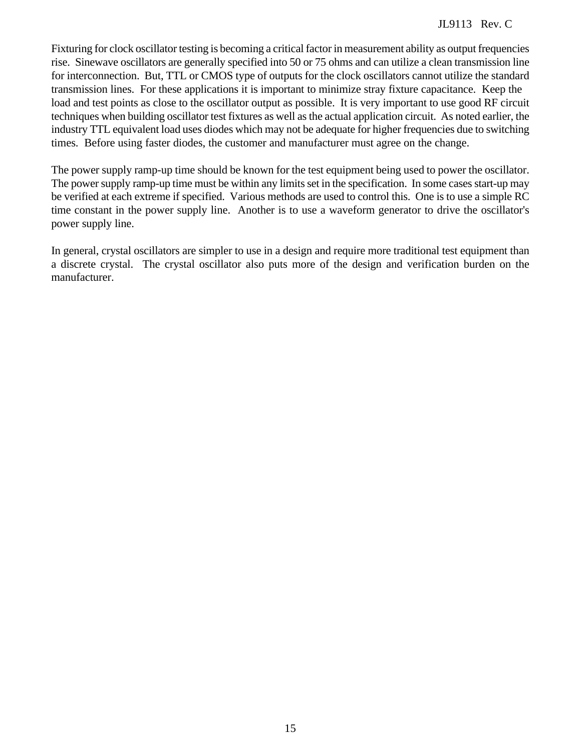Fixturing for clock oscillator testing is becoming a critical factor in measurement ability as output frequencies rise. Sinewave oscillators are generally specified into 50 or 75 ohms and can utilize a clean transmission line for interconnection. But, TTL or CMOS type of outputs for the clock oscillators cannot utilize the standard transmission lines. For these applications it is important to minimize stray fixture capacitance. Keep the load and test points as close to the oscillator output as possible. It is very important to use good RF circuit techniques when building oscillator test fixtures as well as the actual application circuit. As noted earlier, the industry TTL equivalent load uses diodes which may not be adequate for higher frequencies due to switching times. Before using faster diodes, the customer and manufacturer must agree on the change.

The power supply ramp-up time should be known for the test equipment being used to power the oscillator. The power supply ramp-up time must be within any limits set in the specification. In some cases start-up may be verified at each extreme if specified. Various methods are used to control this. One is to use a simple RC time constant in the power supply line. Another is to use a waveform generator to drive the oscillator's power supply line.

In general, crystal oscillators are simpler to use in a design and require more traditional test equipment than a discrete crystal. The crystal oscillator also puts more of the design and verification burden on the manufacturer.